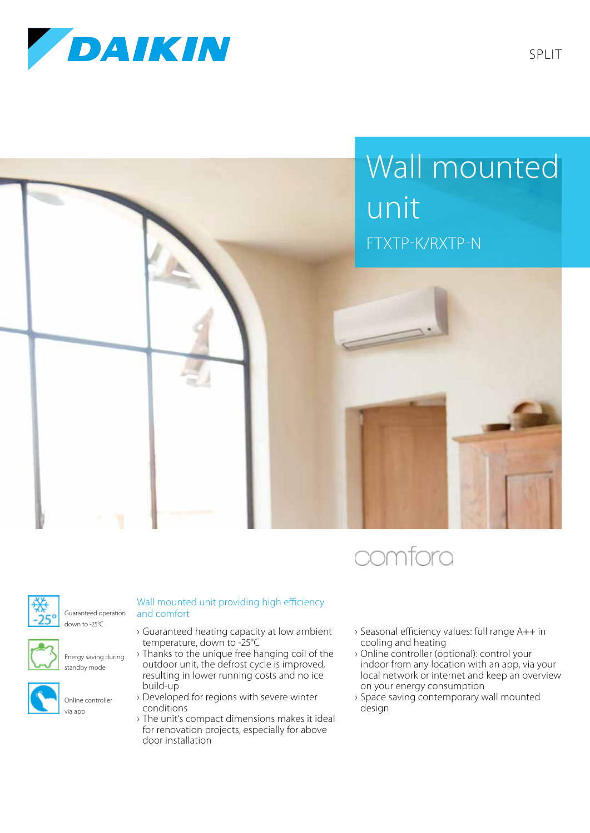







Guaranteed operation down to -25°C



Energy saving during standby mode



## Wall mounted unit providing high efficiency and comfort

- › Guaranteed heating capacity at low ambient temperature, down to -25°C
- › Thanks to the unique free hanging coil of the outdoor unit, the defrost cycle is improved, resulting in lower running costs and no ice build-up
- › Developed for regions with severe winter conditions
- › The unit's compact dimensions makes it ideal for renovation projects, especially for above door installation
- › Seasonal efficiency values: full range A++ in cooling and heating
- › Online controller (optional): control your indoor from any location with an app, via your local network or internet and keep an overview on your energy consumption
- › Space saving contemporary wall mounted design